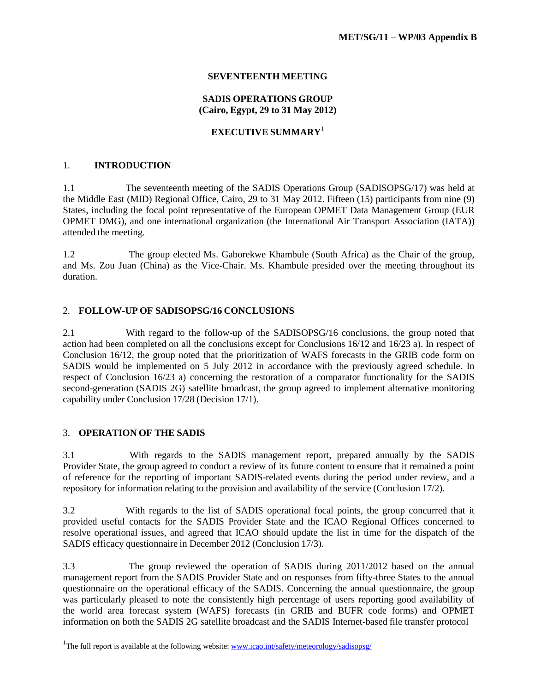## **SEVENTEENTH MEETING**

#### **SADIS OPERATIONS GROUP (Cairo, Egypt, 29 to 31 May 2012)**

### **EXECUTIVE SUMMARY**<sup>1</sup>

### 1. **INTRODUCTION**

1.1 The seventeenth meeting of the SADIS Operations Group (SADISOPSG/17) was held at the Middle East (MID) Regional Office, Cairo, 29 to 31 May 2012. Fifteen (15) participants from nine (9) States, including the focal point representative of the European OPMET Data Management Group (EUR OPMET DMG), and one international organization (the International Air Transport Association (IATA)) attended the meeting.

1.2 The group elected Ms. Gaborekwe Khambule (South Africa) as the Chair of the group, and Ms. Zou Juan (China) as the Vice-Chair. Ms. Khambule presided over the meeting throughout its duration.

## 2. **FOLLOW-UP OF SADISOPSG/16 CONCLUSIONS**

2.1 With regard to the follow-up of the SADISOPSG/16 conclusions, the group noted that action had been completed on all the conclusions except for Conclusions 16/12 and 16/23 a). In respect of Conclusion 16/12, the group noted that the prioritization of WAFS forecasts in the GRIB code form on SADIS would be implemented on 5 July 2012 in accordance with the previously agreed schedule. In respect of Conclusion 16/23 a) concerning the restoration of a comparator functionality for the SADIS second-generation (SADIS 2G) satellite broadcast, the group agreed to implement alternative monitoring capability under Conclusion 17/28 (Decision 17/1).

#### 3. **OPERATION OF THE SADIS**

3.1 With regards to the SADIS management report, prepared annually by the SADIS Provider State, the group agreed to conduct a review of its future content to ensure that it remained a point of reference for the reporting of important SADIS-related events during the period under review, and a repository for information relating to the provision and availability of the service (Conclusion 17/2).

3.2 With regards to the list of SADIS operational focal points, the group concurred that it provided useful contacts for the SADIS Provider State and the ICAO Regional Offices concerned to resolve operational issues, and agreed that ICAO should update the list in time for the dispatch of the SADIS efficacy questionnaire in December 2012 (Conclusion 17/3).

3.3 The group reviewed the operation of SADIS during 2011/2012 based on the annual management report from the SADIS Provider State and on responses from fifty-three States to the annual questionnaire on the operational efficacy of the SADIS. Concerning the annual questionnaire, the group was particularly pleased to note the consistently high percentage of users reporting good availability of the world area forecast system (WAFS) forecasts (in GRIB and BUFR code forms) and OPMET information on both the SADIS 2G satellite broadcast and the SADIS Internet-based file transfer protocol

<sup>&</sup>lt;sup>1</sup>The full report is available at the following website[: www.icao.int/safety/meteorology/sadisopsg/](http://www.icao.int/safety/meteorology/sadisopsg/)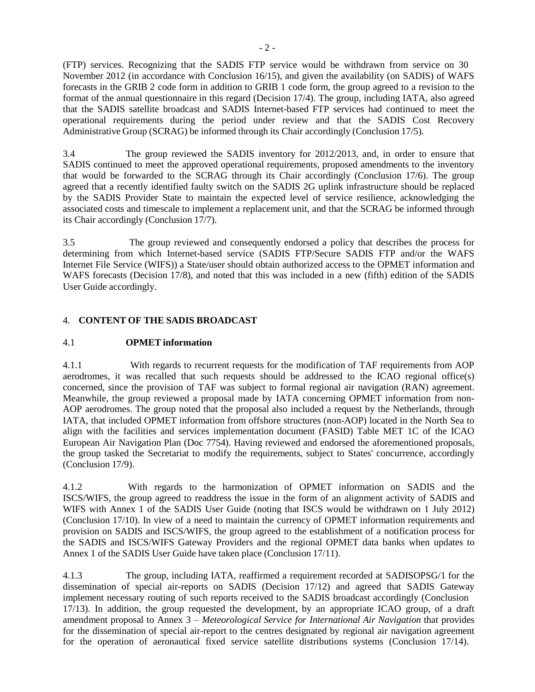(FTP) services. Recognizing that the SADIS FTP service would be withdrawn from service on 30 November 2012 (in accordance with Conclusion 16/15), and given the availability (on SADIS) of WAFS forecasts in the GRIB 2 code form in addition to GRIB 1 code form, the group agreed to a revision to the format of the annual questionnaire in this regard (Decision 17/4). The group, including IATA, also agreed that the SADIS satellite broadcast and SADIS Internet-based FTP services had continued to meet the operational requirements during the period under review and that the SADIS Cost Recovery Administrative Group (SCRAG) be informed through its Chair accordingly (Conclusion 17/5).

3.4 The group reviewed the SADIS inventory for 2012/2013, and, in order to ensure that SADIS continued to meet the approved operational requirements, proposed amendments to the inventory that would be forwarded to the SCRAG through its Chair accordingly (Conclusion 17/6). The group agreed that a recently identified faulty switch on the SADIS 2G uplink infrastructure should be replaced by the SADIS Provider State to maintain the expected level of service resilience, acknowledging the associated costs and timescale to implement a replacement unit, and that the SCRAG be informed through its Chair accordingly (Conclusion 17/7).

3.5 The group reviewed and consequently endorsed a policy that describes the process for determining from which Internet-based service (SADIS FTP/Secure SADIS FTP and/or the WAFS Internet File Service (WIFS)) a State/user should obtain authorized access to the OPMET information and WAFS forecasts (Decision 17/8), and noted that this was included in a new (fifth) edition of the SADIS User Guide accordingly.

## 4. **CONTENT OF THE SADIS BROADCAST**

### 4.1 **OPMET information**

4.1.1 With regards to recurrent requests for the modification of TAF requirements from AOP aerodromes, it was recalled that such requests should be addressed to the ICAO regional office(s) concerned, since the provision of TAF was subject to formal regional air navigation (RAN) agreement. Meanwhile, the group reviewed a proposal made by IATA concerning OPMET information from non-AOP aerodromes. The group noted that the proposal also included a request by the Netherlands, through IATA, that included OPMET information from offshore structures (non-AOP) located in the North Sea to align with the facilities and services implementation document (FASID) Table MET 1C of the ICAO European Air Navigation Plan (Doc 7754). Having reviewed and endorsed the aforementioned proposals, the group tasked the Secretariat to modify the requirements, subject to States' concurrence, accordingly (Conclusion 17/9).

4.1.2 With regards to the harmonization of OPMET information on SADIS and the ISCS/WIFS, the group agreed to readdress the issue in the form of an alignment activity of SADIS and WIFS with Annex 1 of the SADIS User Guide (noting that ISCS would be withdrawn on 1 July 2012) (Conclusion 17/10). In view of a need to maintain the currency of OPMET information requirements and provision on SADIS and ISCS/WIFS, the group agreed to the establishment of a notification process for the SADIS and ISCS/WIFS Gateway Providers and the regional OPMET data banks when updates to Annex 1 of the SADIS User Guide have taken place (Conclusion 17/11).

4.1.3 The group, including IATA, reaffirmed a requirement recorded at SADISOPSG/1 for the dissemination of special air-reports on SADIS (Decision 17/12) and agreed that SADIS Gateway implement necessary routing of such reports received to the SADIS broadcast accordingly (Conclusion 17/13). In addition, the group requested the development, by an appropriate ICAO group, of a draft amendment proposal to Annex 3 – *Meteorological Service for International Air Navigation* that provides for the dissemination of special air-report to the centres designated by regional air navigation agreement for the operation of aeronautical fixed service satellite distributions systems (Conclusion 17/14).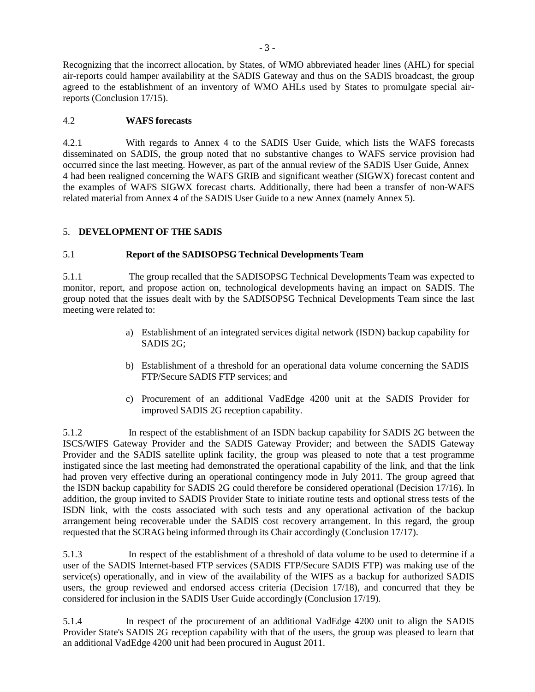Recognizing that the incorrect allocation, by States, of WMO abbreviated header lines (AHL) for special air-reports could hamper availability at the SADIS Gateway and thus on the SADIS broadcast, the group agreed to the establishment of an inventory of WMO AHLs used by States to promulgate special airreports (Conclusion 17/15).

## 4.2 **WAFS forecasts**

4.2.1 With regards to Annex 4 to the SADIS User Guide, which lists the WAFS forecasts disseminated on SADIS, the group noted that no substantive changes to WAFS service provision had occurred since the last meeting. However, as part of the annual review of the SADIS User Guide, Annex 4 had been realigned concerning the WAFS GRIB and significant weather (SIGWX) forecast content and the examples of WAFS SIGWX forecast charts. Additionally, there had been a transfer of non-WAFS related material from Annex 4 of the SADIS User Guide to a new Annex (namely Annex 5).

## 5. **DEVELOPMENT OF THE SADIS**

## 5.1 **Report of the SADISOPSG Technical Developments Team**

5.1.1 The group recalled that the SADISOPSG Technical Developments Team was expected to monitor, report, and propose action on, technological developments having an impact on SADIS. The group noted that the issues dealt with by the SADISOPSG Technical Developments Team since the last meeting were related to:

- a) Establishment of an integrated services digital network (ISDN) backup capability for SADIS 2G;
- b) Establishment of a threshold for an operational data volume concerning the SADIS FTP/Secure SADIS FTP services; and
- c) Procurement of an additional VadEdge 4200 unit at the SADIS Provider for improved SADIS 2G reception capability.

5.1.2 In respect of the establishment of an ISDN backup capability for SADIS 2G between the ISCS/WIFS Gateway Provider and the SADIS Gateway Provider; and between the SADIS Gateway Provider and the SADIS satellite uplink facility, the group was pleased to note that a test programme instigated since the last meeting had demonstrated the operational capability of the link, and that the link had proven very effective during an operational contingency mode in July 2011. The group agreed that the ISDN backup capability for SADIS 2G could therefore be considered operational (Decision 17/16). In addition, the group invited to SADIS Provider State to initiate routine tests and optional stress tests of the ISDN link, with the costs associated with such tests and any operational activation of the backup arrangement being recoverable under the SADIS cost recovery arrangement. In this regard, the group requested that the SCRAG being informed through its Chair accordingly (Conclusion 17/17).

5.1.3 In respect of the establishment of a threshold of data volume to be used to determine if a user of the SADIS Internet-based FTP services (SADIS FTP/Secure SADIS FTP) was making use of the service(s) operationally, and in view of the availability of the WIFS as a backup for authorized SADIS users, the group reviewed and endorsed access criteria (Decision 17/18), and concurred that they be considered for inclusion in the SADIS User Guide accordingly (Conclusion 17/19).

5.1.4 In respect of the procurement of an additional VadEdge 4200 unit to align the SADIS Provider State's SADIS 2G reception capability with that of the users, the group was pleased to learn that an additional VadEdge 4200 unit had been procured in August 2011.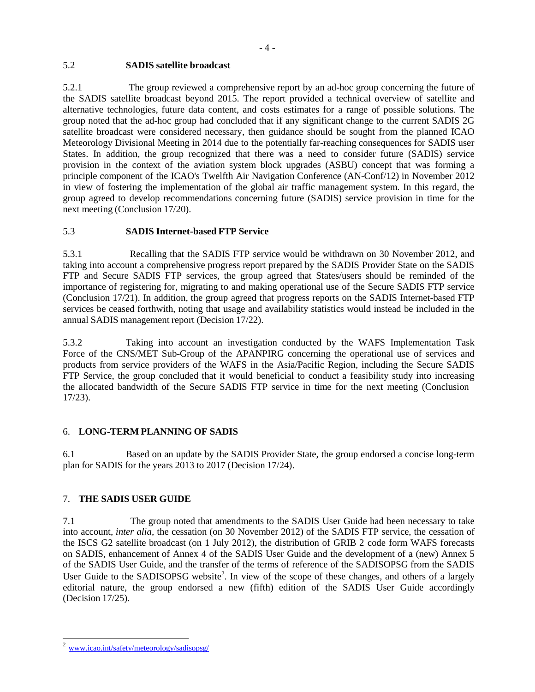# 5.2 **SADIS satellite broadcast**

5.2.1 The group reviewed a comprehensive report by an ad-hoc group concerning the future of the SADIS satellite broadcast beyond 2015. The report provided a technical overview of satellite and alternative technologies, future data content, and costs estimates for a range of possible solutions. The group noted that the ad-hoc group had concluded that if any significant change to the current SADIS 2G satellite broadcast were considered necessary, then guidance should be sought from the planned ICAO Meteorology Divisional Meeting in 2014 due to the potentially far-reaching consequences for SADIS user States. In addition, the group recognized that there was a need to consider future (SADIS) service provision in the context of the aviation system block upgrades (ASBU) concept that was forming a principle component of the ICAO's Twelfth Air Navigation Conference (AN-Conf/12) in November 2012 in view of fostering the implementation of the global air traffic management system. In this regard, the group agreed to develop recommendations concerning future (SADIS) service provision in time for the next meeting (Conclusion 17/20).

# 5.3 **SADIS Internet-based FTP Service**

5.3.1 Recalling that the SADIS FTP service would be withdrawn on 30 November 2012, and taking into account a comprehensive progress report prepared by the SADIS Provider State on the SADIS FTP and Secure SADIS FTP services, the group agreed that States/users should be reminded of the importance of registering for, migrating to and making operational use of the Secure SADIS FTP service (Conclusion 17/21). In addition, the group agreed that progress reports on the SADIS Internet-based FTP services be ceased forthwith, noting that usage and availability statistics would instead be included in the annual SADIS management report (Decision 17/22).

5.3.2 Taking into account an investigation conducted by the WAFS Implementation Task Force of the CNS/MET Sub-Group of the APANPIRG concerning the operational use of services and products from service providers of the WAFS in the Asia/Pacific Region, including the Secure SADIS FTP Service, the group concluded that it would beneficial to conduct a feasibility study into increasing the allocated bandwidth of the Secure SADIS FTP service in time for the next meeting (Conclusion 17/23).

# 6. **LONG-TERM PLANNING OF SADIS**

6.1 Based on an update by the SADIS Provider State, the group endorsed a concise long-term plan for SADIS for the years 2013 to 2017 (Decision 17/24).

# 7. **THE SADIS USER GUIDE**

7.1 The group noted that amendments to the SADIS User Guide had been necessary to take into account, *inter alia*, the cessation (on 30 November 2012) of the SADIS FTP service, the cessation of the ISCS G2 satellite broadcast (on 1 July 2012), the distribution of GRIB 2 code form WAFS forecasts on SADIS, enhancement of Annex 4 of the SADIS User Guide and the development of a (new) Annex 5 of the SADIS User Guide, and the transfer of the terms of reference of the SADISOPSG from the SADIS User Guide to the SADISOPSG website<sup>2</sup>. In view of the scope of these changes, and others of a largely editorial nature, the group endorsed a new (fifth) edition of the SADIS User Guide accordingly (Decision 17/25).

<sup>2</sup> [www.icao.int/safety/meteorology/sadisopsg/](http://www.icao.int/safety/meteorology/sadisopsg/)